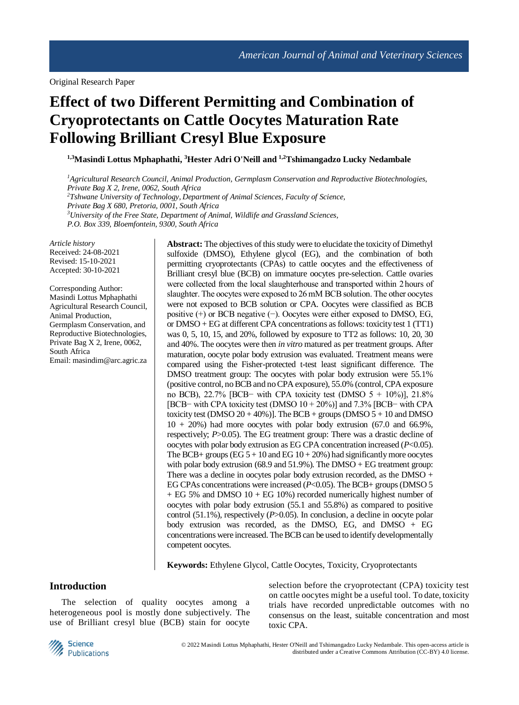# **Effect of two Different Permitting and Combination of Cryoprotectants on Cattle Oocytes Maturation Rate Following Brilliant Cresyl Blue Exposure**

**1,3Masindi Lottus Mphaphathi, <sup>3</sup>Hester Adri O'Neill and 1,2Tshimangadzo Lucky Nedambale**

*<sup>1</sup>Agricultural Research Council, Animal Production, Germplasm Conservation and Reproductive Biotechnologies, Private Bag X 2, Irene, 0062, South Africa <sup>2</sup>Tshwane University of Technology, Department of Animal Sciences, Faculty of Science, Private Bag X 680, Pretoria, 0001, South Africa <sup>3</sup>University of the Free State, Department of Animal, Wildlife and Grassland Sciences, P.O. Box 339, Bloemfontein, 9300, South Africa*

*Article history* Received: 24-08-2021 Revised: 15-10-2021 Accepted: 30-10-2021

Corresponding Author: Masindi Lottus Mphaphathi Agricultural Research Council, Animal Production, Germplasm Conservation, and Reproductive Biotechnologies, Private Bag X 2, Irene, 0062, South Africa Email: masindim@arc.agric.za

**Abstract:** The objectives of this study were to elucidate the toxicity of Dimethyl sulfoxide (DMSO), Ethylene glycol (EG), and the combination of both permitting cryoprotectants (CPAs) to cattle oocytes and the effectiveness of Brilliant cresyl blue (BCB) on immature oocytes pre-selection. Cattle ovaries were collected from the local slaughterhouse and transported within 2 hours of slaughter. The oocytes were exposed to 26 mM BCB solution. The other oocytes were not exposed to BCB solution or CPA. Oocytes were classified as BCB positive  $(+)$  or BCB negative  $(-)$ . Oocytes were either exposed to DMSO, EG, or DMSO + EG at different CPA concentrations as follows: toxicity test 1 (TT1) was 0, 5, 10, 15, and 20%, followed by exposure to TT2 as follows: 10, 20, 30 and 40%. The oocytes were then *in vitro* matured as per treatment groups. After maturation, oocyte polar body extrusion was evaluated. Treatment means were compared using the Fisher-protected t-test least significant difference. The DMSO treatment group: The oocytes with polar body extrusion were 55.1% (positive control, no BCB and no CPA exposure), 55.0% (control, CPA exposure no BCB), 22.7% [BCB− with CPA toxicity test (DMSO  $5 + 10\%$ )], 21.8% [BCB− with CPA toxicity test (DMSO 10 + 20%)] and 7.3% [BCB− with CPA toxicity test (DMSO  $20 + 40\%)$ ). The BCB + groups (DMSO  $5 + 10$  and DMSO  $10 + 20\%$ ) had more oocytes with polar body extrusion (67.0 and 66.9%, respectively; *P*>0.05). The EG treatment group: There was a drastic decline of oocytes with polar body extrusion as EG CPA concentration increased (*P*<0.05). The BCB+ groups (EG  $5 + 10$  and EG  $10 + 20\%$ ) had significantly more oocytes with polar body extrusion (68.9 and  $51.9\%$ ). The DMSO + EG treatment group: There was a decline in oocytes polar body extrusion recorded, as the DMSO + EG CPAs concentrations were increased (*P*<0.05). The BCB+ groups (DMSO 5 + EG 5% and DMSO 10 + EG 10%) recorded numerically highest number of oocytes with polar body extrusion (55.1 and 55.8%) as compared to positive control (51.1%), respectively (*P*>0.05). In conclusion, a decline in oocyte polar body extrusion was recorded, as the DMSO, EG, and DMSO + EG concentrations were increased. The BCB can be used to identify developmentally competent oocytes.

**Keywords:** Ethylene Glycol, Cattle Oocytes, Toxicity, Cryoprotectants

# **Introduction**

The selection of quality oocytes among a heterogeneous pool is mostly done subjectively. The use of Brilliant cresyl blue (BCB) stain for oocyte

selection before the cryoprotectant (CPA) toxicity test on cattle oocytes might be a useful tool. To date, toxicity trials have recorded unpredictable outcomes with no consensus on the least, suitable concentration and most toxic CPA.



© 2022 Masindi Lottus Mphaphathi, Hester O'Neill and Tshimangadzo Lucky Nedambale. This open-access article is distributed under a Creative Commons Attribution (CC-BY) 4.0 license.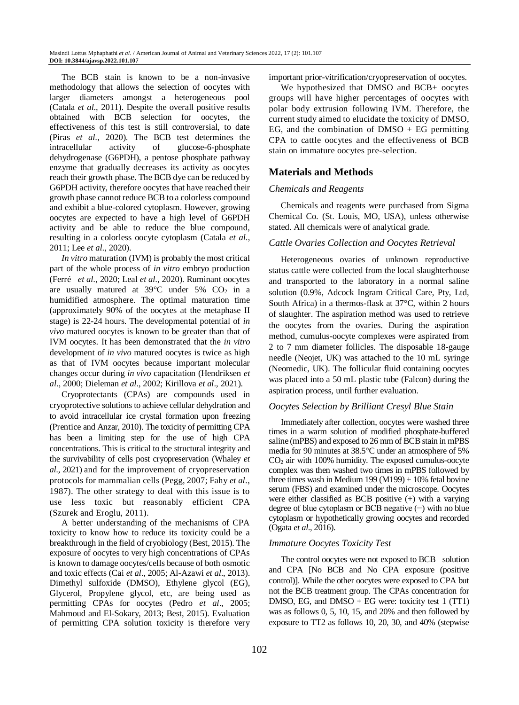The BCB stain is known to be a non-invasive methodology that allows the selection of oocytes with larger diameters amongst a heterogeneous pool (Catala *et al*., 2011). Despite the overall positive results obtained with BCB selection for oocytes, the effectiveness of this test is still controversial, to date (Piras *et al*., 2020). The BCB test determines the intracellular activity of glucose-6-phosphate dehydrogenase (G6PDH), a pentose phosphate pathway enzyme that gradually decreases its activity as oocytes reach their growth phase. The BCB dye can be reduced by G6PDH activity, therefore oocytes that have reached their growth phase cannot reduce BCB to a colorless compound and exhibit a blue-colored cytoplasm. However, growing oocytes are expected to have a high level of G6PDH activity and be able to reduce the blue compound, resulting in a colorless oocyte cytoplasm (Catala *et al*., 2011; Lee *et al*., 2020).

*In vitro* maturation (IVM) is probably the most critical part of the whole process of *in vitro* embryo production (Ferré *et al*., 2020; Leal *et al*., 2020). Ruminant oocytes are usually matured at  $39^{\circ}$ C under  $5\%$  CO<sub>2</sub> in a humidified atmosphere. The optimal maturation time (approximately 90% of the oocytes at the metaphase II stage) is 22-24 hours. The developmental potential of *in vivo* matured oocytes is known to be greater than that of IVM oocytes. It has been demonstrated that the *in vitro* development of *in vivo* matured oocytes is twice as high as that of IVM oocytes because important molecular changes occur during *in vivo* capacitation (Hendriksen *et al*., 2000; Dieleman *et al*., 2002; Kirillova *et al*., 2021).

Cryoprotectants (CPAs) are compounds used in cryoprotective solutions to achieve cellular dehydration and to avoid intracellular ice crystal formation upon freezing (Prentice and Anzar, 2010). The toxicity of permitting CPA has been a limiting step for the use of high CPA concentrations. This is critical to the structural integrity and the survivability of cells post cryopreservation (Whaley *et al*., 2021) and for the improvement of cryopreservation protocols for mammalian cells (Pegg, 2007; Fahy *et al*., 1987). The other strategy to deal with this issue is to use less toxic but reasonably efficient CPA (Szurek and Eroglu, 2011).

A better understanding of the mechanisms of CPA toxicity to know how to reduce its toxicity could be a breakthrough in the field of cryobiology (Best, 2015). The exposure of oocytes to very high concentrations of CPAs is known to damage oocytes/cells because of both osmotic and toxic effects (Cai *et al*., 2005; Al-Azawi *et al*., 2013). Dimethyl sulfoxide (DMSO), Ethylene glycol (EG), Glycerol, Propylene glycol, etc, are being used as permitting CPAs for oocytes (Pedro *et al*., 2005; Mahmoud and El-Sokary, 2013; Best, 2015). Evaluation of permitting CPA solution toxicity is therefore very

important prior-vitrification/cryopreservation of oocytes.

We hypothesized that DMSO and BCB+ oocytes groups will have higher percentages of oocytes with polar body extrusion following IVM. Therefore, the current study aimed to elucidate the toxicity of DMSO, EG, and the combination of  $DMSO + EG$  permitting CPA to cattle oocytes and the effectiveness of BCB stain on immature oocytes pre-selection.

# **Materials and Methods**

#### *Chemicals and Reagents*

Chemicals and reagents were purchased from Sigma Chemical Co. (St. Louis, MO, USA), unless otherwise stated. All chemicals were of analytical grade.

#### *Cattle Ovaries Collection and Oocytes Retrieval*

Heterogeneous ovaries of unknown reproductive status cattle were collected from the local slaughterhouse and transported to the laboratory in a normal saline solution (0.9%, Adcock Ingram Critical Care, Pty, Ltd, South Africa) in a thermos-flask at 37°C, within 2 hours of slaughter. The aspiration method was used to retrieve the oocytes from the ovaries. During the aspiration method, cumulus-oocyte complexes were aspirated from 2 to 7 mm diameter follicles. The disposable 18-gauge needle (Neojet, UK) was attached to the 10 mL syringe (Neomedic, UK). The follicular fluid containing oocytes was placed into a 50 mL plastic tube (Falcon) during the aspiration process, until further evaluation.

#### *Oocytes Selection by Brilliant Cresyl Blue Stain*

Immediately after collection, oocytes were washed three times in a warm solution of modified phosphate-buffered saline (mPBS) and exposed to 26 mm of BCB stain in mPBS media for 90 minutes at 38.5°C under an atmosphere of 5% CO<sup>2</sup> air with 100% humidity. The exposed cumulus-oocyte complex was then washed two times in mPBS followed by three times wash in Medium 199 (M199) + 10% fetal bovine serum (FBS) and examined under the microscope. Oocytes were either classified as BCB positive (+) with a varying degree of blue cytoplasm or BCB negative (−) with no blue cytoplasm or hypothetically growing oocytes and recorded (Ogata *et al*., 2016).

#### *Immature Oocytes Toxicity Test*

The control oocytes were not exposed to BCB solution and CPA [No BCB and No CPA exposure (positive control)]. While the other oocytes were exposed to CPA but not the BCB treatment group. The CPAs concentration for DMSO, EG, and DMSO + EG were: toxicity test 1 (TT1) was as follows 0, 5, 10, 15, and 20% and then followed by exposure to TT2 as follows 10, 20, 30, and 40% (stepwise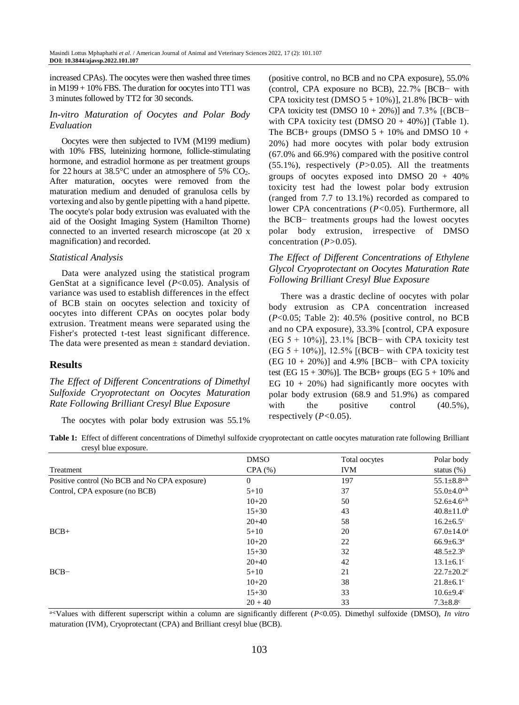increased CPAs). The oocytes were then washed three times in M199 + 10% FBS. The duration for oocytes into TT1 was 3 minutes followed by TT2 for 30 seconds.

#### *In-vitro Maturation of Oocytes and Polar Body Evaluation*

Oocytes were then subjected to IVM (M199 medium) with 10% FBS, luteinizing hormone, follicle-stimulating hormone, and estradiol hormone as per treatment groups for 22 hours at  $38.5^{\circ}$ C under an atmosphere of  $5\%$  CO<sub>2</sub>. After maturation, oocytes were removed from the maturation medium and denuded of granulosa cells by vortexing and also by gentle pipetting with a hand pipette. The oocyte's polar body extrusion was evaluated with the aid of the Oosight Imaging System (Hamilton Thorne) connected to an inverted research microscope (at 20 x magnification) and recorded.

#### *Statistical Analysis*

Data were analyzed using the statistical program GenStat at a significance level (*P*<0.05). Analysis of variance was used to establish differences in the effect of BCB stain on oocytes selection and toxicity of oocytes into different CPAs on oocytes polar body extrusion. Treatment means were separated using the Fisher's protected t-test least significant difference. The data were presented as mean  $\pm$  standard deviation.

## **Results**

## *The Effect of Different Concentrations of Dimethyl Sulfoxide Cryoprotectant on Oocytes Maturation Rate Following Brilliant Cresyl Blue Exposure*

The oocytes with polar body extrusion was 55.1%

(positive control, no BCB and no CPA exposure), 55.0% (control, CPA exposure no BCB), 22.7% [BCB− with CPA toxicity test (DMSO  $5 + 10\%$ )], 21.8% [BCB− with CPA toxicity test (DMSO  $10 + 20\%)$ ] and  $7.3\%$  [(BCB− with CPA toxicity test (DMSO  $20 + 40\%)$ ) (Table 1). The BCB+ groups (DMSO  $5 + 10\%$  and DMSO  $10 +$ 20%) had more oocytes with polar body extrusion (67.0% and 66.9%) compared with the positive control (55.1%), respectively (*P>*0.05). All the treatments groups of oocytes exposed into DMSO  $20 + 40\%$ toxicity test had the lowest polar body extrusion (ranged from 7.7 to 13.1%) recorded as compared to lower CPA concentrations (*P<*0.05). Furthermore, all the BCB− treatments groups had the lowest oocytes polar body extrusion, irrespective of DMSO concentration (*P>*0.05).

# *The Effect of Different Concentrations of Ethylene Glycol Cryoprotectant on Oocytes Maturation Rate Following Brilliant Cresyl Blue Exposure*

There was a drastic decline of oocytes with polar body extrusion as CPA concentration increased (*P*<0.05; Table 2): 40.5% (positive control, no BCB and no CPA exposure), 33.3% [control, CPA exposure (EG  $5 + 10\%)$ ), 23.1% [BCB− with CPA toxicity test (EG 5 + 10%)], 12.5% [(BCB− with CPA toxicity test (EG 10 + 20%)] and 4.9% [BCB− with CPA toxicity test (EG  $15 + 30\%)$ ). The BCB+ groups (EG  $5 + 10\%$  and EG  $10 + 20\%$ ) had significantly more oocytes with polar body extrusion (68.9 and 51.9%) as compared with the positive control  $(40.5\%)$ , respectively (*P<*0.05).

| Table 1: Effect of different concentrations of Dimethyl sulfoxide cryoprotectant on cattle oocytes maturation rate following Brilliant |  |  |  |
|----------------------------------------------------------------------------------------------------------------------------------------|--|--|--|
| cresyl blue exposure.                                                                                                                  |  |  |  |

|                                               | <b>DMSO</b> | Total oocytes | Polar body                   |
|-----------------------------------------------|-------------|---------------|------------------------------|
| Treatment                                     | CPA(%)      | <b>IVM</b>    | status $(\%)$                |
| Positive control (No BCB and No CPA exposure) | $\Omega$    | 197           | $55.1 \pm 8.8^{a,b}$         |
| Control, CPA exposure (no BCB)                | $5 + 10$    | 37            | $55.0 \pm 4.0^{a,b}$         |
|                                               | $10+20$     | 50            | $52.6 \pm 4.6^{a,b}$         |
|                                               | $15 + 30$   | 43            | $40.8 \pm 11.0^b$            |
|                                               | $20+40$     | 58            | $16.2 \pm 6.5$ °             |
| $BCB+$                                        | $5 + 10$    | 20            | $67.0 \pm 14.0^a$            |
|                                               | $10+20$     | 22            | $66.9 \pm 6.3^{\text{a}}$    |
|                                               | $15 + 30$   | 32            | $48.5 \pm 2.3^{\rm b}$       |
|                                               | $20+40$     | 42            | $13.1 \pm 6.1$ <sup>c</sup>  |
| $BCB-$                                        | $5 + 10$    | 21            | $22.7 \pm 20.2$ <sup>c</sup> |
|                                               | $10 + 20$   | 38            | $21.8 \pm 6.1$ °             |
|                                               | $15 + 30$   | 33            | $10.6 \pm 9.4$ <sup>c</sup>  |
|                                               | $20 + 40$   | 33            | $7.3 \pm 8.8$ <sup>c</sup>   |

a-cValues with different superscript within a column are significantly different (*P*<0.05). Dimethyl sulfoxide (DMSO), *In vitro* maturation (IVM), Cryoprotectant (CPA) and Brilliant cresyl blue (BCB).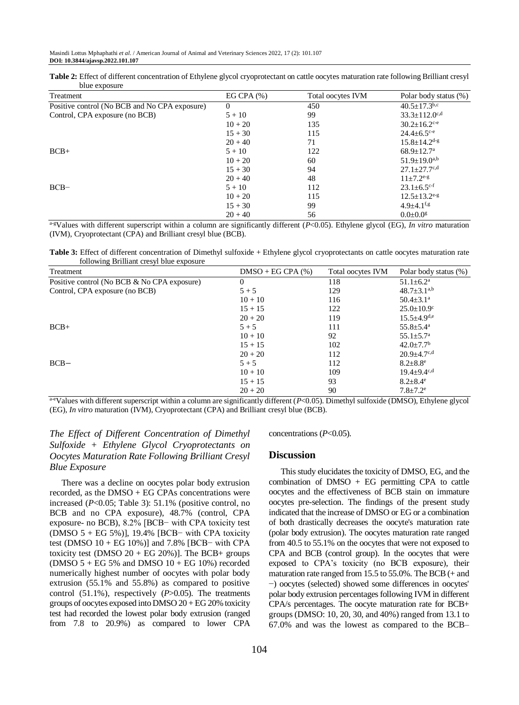**Table 2:** Effect of different concentration of Ethylene glycol cryoprotectant on cattle oocytes maturation rate following Brilliant cresyl blue exposure

| Treatment                                     | EG CPA $(%)$ | Total oocytes IVM | Polar body status (%)           |
|-----------------------------------------------|--------------|-------------------|---------------------------------|
| Positive control (No BCB and No CPA exposure) | $\Omega$     | 450               | $40.5 \pm 17.3$ <sup>b,c</sup>  |
| Control, CPA exposure (no BCB)                | $5 + 10$     | 99                | $33.3 \pm 112.0$ <sup>c,d</sup> |
|                                               | $10 + 20$    | 135               | $30.2 \pm 16.2$ <sup>c-e</sup>  |
|                                               | $15 + 30$    | 115               | $24.4 \pm 6.5$ <sup>c-e</sup>   |
|                                               | $20 + 40$    | 71                | $15.8 \pm 14.2$ <sup>d-g</sup>  |
| $BCB+$                                        | $5 + 10$     | 122               | $68.9 \pm 12.7^{\mathrm{a}}$    |
|                                               | $10 + 20$    | 60                | $51.9 \pm 19.0^{a,b}$           |
|                                               | $15 + 30$    | 94                | $27.1 \pm 27.7$ <sup>c,d</sup>  |
|                                               | $20 + 40$    | 48                | $11+7.2^{e-g}$                  |
| $BCB-$                                        | $5 + 10$     | 112               | $23.1 \pm 6.5$ <sup>c-f</sup>   |
|                                               | $10 + 20$    | 115               | $12.5 \pm 13.2$ <sup>e-g</sup>  |
|                                               | $15 + 30$    | 99                | $4.9 \pm 4.1$ <sup>f,g</sup>    |
|                                               | $20 + 40$    | 56                | $0.0 \pm 0.0$ <sup>g</sup>      |

a-gValues with different superscript within a column are significantly different (*P*<0.05). Ethylene glycol (EG), *In vitro* maturation (IVM), Cryoprotectant (CPA) and Brilliant cresyl blue (BCB).

**Table 3:** Effect of different concentration of Dimethyl sulfoxide + Ethylene glycol cryoprotectants on cattle oocytes maturation rate following Brilliant cresyl blue exposure

| Treatment                                   | $DMSO + EGCPA$ (%) | Total oocytes IVM | Polar body status (%)         |
|---------------------------------------------|--------------------|-------------------|-------------------------------|
| Positive control (No BCB & No CPA exposure) | 0                  | 118               | $51.1 \pm 6.2^a$              |
| Control, CPA exposure (no BCB)              | $5 + 5$            | 129               | $48.7 \pm 3.1^{a,b}$          |
|                                             | $10 + 10$          | 116               | $50.4 \pm 3.1$ <sup>a</sup>   |
|                                             | $15 + 15$          | 122               | $25.0 \pm 10.9$ <sup>c</sup>  |
|                                             | $20 + 20$          | 119               | $15.5 \pm 4.9$ <sup>d,e</sup> |
| $BCB+$                                      | $5 + 5$            | 111               | $55.8 \pm 5.4^{\mathrm{a}}$   |
|                                             | $10 + 10$          | 92                | $55.1 \pm 5.7^{\rm a}$        |
|                                             | $15 + 15$          | 102               | $42.0 \pm 7.7$ <sup>b</sup>   |
|                                             | $20 + 20$          | 112               | $20.9 \pm 4.7$ <sup>c,d</sup> |
| $BCB -$                                     | $5 + 5$            | 112               | $8.2 \pm 8.8$ <sup>e</sup>    |
|                                             | $10 + 10$          | 109               | $19.4 \pm 9.4$ <sup>c,d</sup> |
|                                             | $15 + 15$          | 93                | $8.2 \pm 8.4^e$               |
|                                             | $20 + 20$          | 90                | $7.8 \pm 7.2$ <sup>e</sup>    |

a-eValues with different superscript within a column are significantly different (*P*<0.05). Dimethyl sulfoxide (DMSO), Ethylene glycol (EG), *In vitro* maturation (IVM), Cryoprotectant (CPA) and Brilliant cresyl blue (BCB).

# *The Effect of Different Concentration of Dimethyl Sulfoxide + Ethylene Glycol Cryoprotectants on Oocytes Maturation Rate Following Brilliant Cresyl Blue Exposure*

There was a decline on oocytes polar body extrusion recorded, as the DMSO + EG CPAs concentrations were increased (*P*<0.05; Table 3): 51.1% (positive control, no BCB and no CPA exposure), 48.7% (control, CPA exposure- no BCB), 8.2% [BCB− with CPA toxicity test (DMSO 5 + EG 5%)], 19.4% [BCB− with CPA toxicity test (DMSO 10 + EG 10%)] and 7.8% [BCB− with CPA toxicity test (DMSO  $20 + EG$  20%)]. The BCB+ groups (DMSO  $5 + EG$  5% and DMSO  $10 + EG$  10%) recorded numerically highest number of oocytes with polar body extrusion (55.1% and 55.8%) as compared to positive control (51.1%), respectively (*P*>0.05). The treatments groups of oocytes exposed into DMSO 20 + EG 20% toxicity test had recorded the lowest polar body extrusion (ranged from 7.8 to 20.9%) as compared to lower CPA

concentrations (*P*<0.05).

#### **Discussion**

This study elucidates the toxicity of DMSO, EG, and the combination of  $DMSO + EG$  permitting CPA to cattle oocytes and the effectiveness of BCB stain on immature oocytes pre-selection. The findings of the present study indicated that the increase of DMSO or EG or a combination of both drastically decreases the oocyte's maturation rate (polar body extrusion). The oocytes maturation rate ranged from 40.5 to 55.1% on the oocytes that were not exposed to CPA and BCB (control group). In the oocytes that were exposed to CPA's toxicity (no BCB exposure), their maturation rate ranged from 15.5 to 55.0%. The BCB (+ and −) oocytes (selected) showed some differences in oocytes' polar body extrusion percentages following IVM in different CPA/s percentages. The oocyte maturation rate for BCB+ groups (DMSO: 10, 20, 30, and 40%) ranged from 13.1 to 67.0% and was the lowest as compared to the BCB–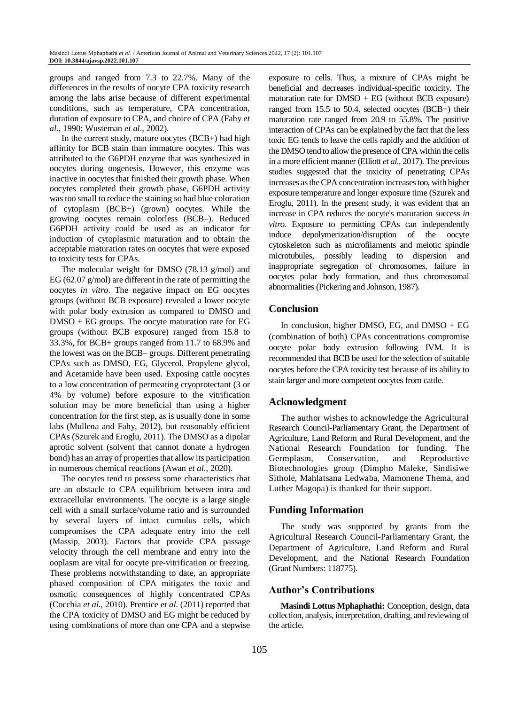groups and ranged from 7.3 to 22.7%. Many of the differences in the results of oocyte CPA toxicity research among the labs arise because of different experimental conditions, such as temperature, CPA concentration, duration of exposure to CPA, and choice of CPA (Fahy *et al*., 1990; Wusteman *et al*., 2002).

In the current study, mature oocytes (BCB+) had high affinity for BCB stain than immature oocytes. This was attributed to the G6PDH enzyme that was synthesized in oocytes during oogenesis. However, this enzyme was inactive in oocytes that finished their growth phase. When oocytes completed their growth phase, G6PDH activity was too small to reduce the staining so had blue coloration of cytoplasm (BCB+) (grown) oocytes. While the growing oocytes remain colorless (BCB–). Reduced G6PDH activity could be used as an indicator for induction of cytoplasmic maturation and to obtain the acceptable maturation rates on oocytes that were exposed to toxicity tests for CPAs.

The molecular weight for DMSO (78.13 g/mol) and EG (62.07 g/mol) are different in the rate of permitting the oocytes *in vitro*. The negative impact on EG oocytes groups (without BCB exposure) revealed a lower oocyte with polar body extrusion as compared to DMSO and DMSO + EG groups. The oocyte maturation rate for EG groups (without BCB exposure) ranged from 15.8 to 33.3%, for BCB+ groups ranged from 11.7 to 68.9% and the lowest was on the BCB– groups. Different penetrating CPAs such as DMSO, EG, Glycerol, Propylene glycol, and Acetamide have been used. Exposing cattle oocytes to a low concentration of permeating cryoprotectant (3 or 4% by volume) before exposure to the vitrification solution may be more beneficial than using a higher concentration for the first step, as is usually done in some labs (Mullena and Fahy, 2012), but reasonably efficient CPAs (Szurek and Eroglu, 2011). The DMSO as a dipolar aprotic solvent (solvent that cannot donate a hydrogen bond) has an array of properties that allow its participation in numerous chemical reactions (Awan *et al*., 2020).

The oocytes tend to possess some characteristics that are an obstacle to CPA equilibrium between intra and extracellular environments. The oocyte is a large single cell with a small surface/volume ratio and is surrounded by several layers of intact cumulus cells, which compromises the CPA adequate entry into the cell (Massip, 2003). Factors that provide CPA passage velocity through the cell membrane and entry into the ooplasm are vital for oocyte pre-vitrification or freezing. These problems notwithstanding to date, an appropriate phased composition of CPA mitigates the toxic and osmotic consequences of highly concentrated CPAs (Cocchia *et al*., 2010). Prentice *et al*. (2011) reported that the CPA toxicity of DMSO and EG might be reduced by using combinations of more than one CPA and a stepwise

exposure to cells. Thus, a mixture of CPAs might be beneficial and decreases individual-specific toxicity. The maturation rate for  $DMSO + EG$  (without BCB exposure) ranged from 15.5 to 50.4, selected oocytes (BCB+) their maturation rate ranged from 20.9 to 55.8%. The positive interaction of CPAs can be explained by the fact that the less toxic EG tends to leave the cells rapidly and the addition of the DMSO tend to allow the presence of CPA within the cells in a more efficient manner (Elliott *et al*., 2017). The previous studies suggested that the toxicity of penetrating CPAs increases as the CPA concentration increases too, with higher exposure temperature and longer exposure time (Szurek and Eroglu, 2011). In the present study, it was evident that an increase in CPA reduces the oocyte's maturation success *in vitro*. Exposure to permitting CPAs can independently induce depolymerization/disruption of the oocyte cytoskeleton such as microfilaments and meiotic spindle microtubules, possibly leading to dispersion and inappropriate segregation of chromosomes, failure in oocytes polar body formation, and thus chromosomal abnormalities (Pickering and Johnson, 1987).

# **Conclusion**

In conclusion, higher DMSO, EG, and DMSO + EG (combination of both) CPAs concentrations compromise oocyte polar body extrusion following IVM. It is recommended that BCB be used for the selection of suitable oocytes before the CPA toxicity test because of its ability to stain larger and more competent oocytes from cattle.

# **Acknowledgment**

The author wishes to acknowledge the Agricultural Research Council-Parliamentary Grant, the Department of Agriculture, Land Reform and Rural Development, and the National Research Foundation for funding. The Germplasm, Conservation, and Reproductive Biotechnologies group (Dimpho Maleke, Sindisiwe Sithole, Mahlatsana Ledwaba, Mamonene Thema, and Luther Magopa) is thanked for their support.

## **Funding Information**

The study was supported by grants from the Agricultural Research Council-Parliamentary Grant, the Department of Agriculture, Land Reform and Rural Development, and the National Research Foundation (Grant Numbers: 118775).

## **Author's Contributions**

**Masindi Lottus Mphaphathi:** Conception, design, data collection, analysis, interpretation, drafting, and reviewing of the article.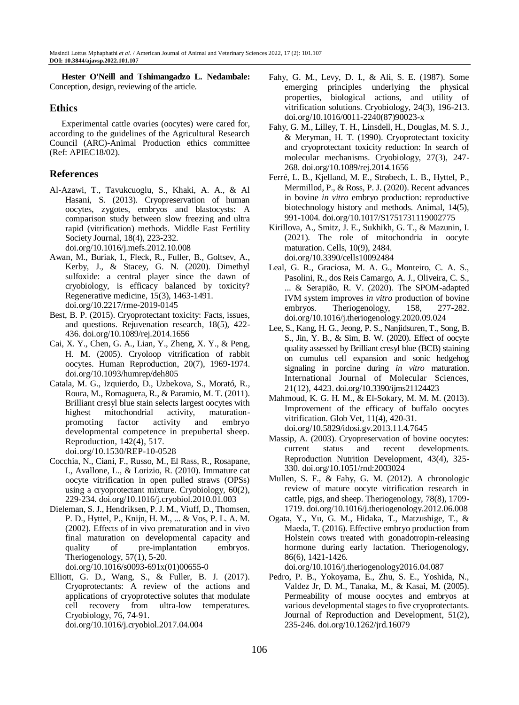**Hester O'Neill and Tshimangadzo L. Nedambale:** Conception, design, reviewing of the article.

# **Ethics**

Experimental cattle ovaries (oocytes) were cared for, according to the guidelines of the Agricultural Research Council (ARC)-Animal Production ethics committee (Ref: APIEC18/02).

# **References**

- Al-Azawi, T., Tavukcuoglu, S., Khaki, A. A., & Al Hasani, S. (2013). Cryopreservation of human oocytes, zygotes, embryos and blastocysts: A comparison study between slow freezing and ultra rapid (vitrification) methods. Middle East Fertility Society Journal, 18(4), 223-232. doi.org/10.1016/j.mefs.2012.10.008
- Awan, M., Buriak, I., Fleck, R., Fuller, B., Goltsev, A., Kerby, J., & Stacey, G. N. (2020). Dimethyl sulfoxide: a central player since the dawn of cryobiology, is efficacy balanced by toxicity? Regenerative medicine, 15(3), 1463-1491. doi.org/10.2217/rme-2019-0145
- Best, B. P. (2015). Cryoprotectant toxicity: Facts, issues, and questions. Rejuvenation research, 18(5), 422- 436. doi.org/10.1089/rej.2014.1656
- Cai, X. Y., Chen, G. A., Lian, Y., Zheng, X. Y., & Peng, H. M. (2005). Cryoloop vitrification of rabbit oocytes. Human Reproduction, 20(7), 1969-1974. doi.org/10.1093/humrep/deh805
- Catala, M. G., Izquierdo, D., Uzbekova, S., Morató, R., Roura, M., Romaguera, R., & Paramio, M. T. (2011). Brilliant cresyl blue stain selects largest oocytes with highest mitochondrial activity, maturationpromoting factor activity and embryo developmental competence in prepubertal sheep. Reproduction, 142(4), 517. doi.org/10.1530/REP-10-0528
- Cocchia, N., Ciani, F., Russo, M., El Rass, R., Rosapane, I., Avallone, L., & Lorizio, R. (2010). Immature cat oocyte vitrification in open pulled straws (OPSs) using a cryoprotectant mixture. Cryobiology, 60(2), 229-234. doi.org/10.1016/j.cryobiol.2010.01.003
- Dieleman, S. J., Hendriksen, P. J. M., Viuff, D., Thomsen, P. D., Hyttel, P., Knijn, H. M., ... & Vos, P. L. A. M. (2002). Effects of in vivo prematuration and in vivo final maturation on developmental capacity and quality of pre-implantation embryos. Theriogenology, 57(1), 5-20. doi.org/10.1016/s0093-691x(01)00655-0
- Elliott, G. D., Wang, S., & Fuller, B. J. (2017). Cryoprotectants: A review of the actions and applications of cryoprotective solutes that modulate cell recovery from ultra-low temperatures. Cryobiology, 76, 74-91.

doi.org/10.1016/j.cryobiol.2017.04.004

- Fahy, G. M., Levy, D. I., & Ali, S. E. (1987). Some emerging principles underlying the physical properties, biological actions, and utility of vitrification solutions. Cryobiology, 24(3), 196-213. doi.org/10.1016/0011-2240(87)90023-x
- Fahy, G. M., Lilley, T. H., Linsdell, H., Douglas, M. S. J., & Meryman, H. T. (1990). Cryoprotectant toxicity and cryoprotectant toxicity reduction: In search of molecular mechanisms. Cryobiology, 27(3), 247- 268. doi.org/10.1089/rej.2014.1656
- Ferré, L. B., Kjelland, M. E., Strøbech, L. B., Hyttel, P., Mermillod, P., & Ross, P. J. (2020). Recent advances in bovine *in vitro* embryo production: reproductive biotechnology history and methods. Animal, 14(5), 991-1004. doi.org/10.1017/S1751731119002775
- Kirillova, A., Smitz, J. E., Sukhikh, G. T., & Mazunin, I. (2021). The role of mitochondria in oocyte maturation. Cells, 10(9), 2484. doi.org/10.3390/cells10092484
- Leal, G. R., Graciosa, M. A. G., Monteiro, C. A. S., Pasolini, R., dos Reis Camargo, A. J., Oliveira, C. S., ... & Serapião, R. V. (2020). The SPOM-adapted IVM system improves *in vitro* production of bovine embryos. Theriogenology, 158, 277-282. doi.org/10.1016/j.theriogenology.2020.09.024
- Lee, S., Kang, H. G., Jeong, P. S., Nanjidsuren, T., Song, B. S., Jin, Y. B., & Sim, B. W. (2020). Effect of oocyte quality assessed by Brilliant cresyl blue (BCB) staining on cumulus cell expansion and sonic hedgehog signaling in porcine during *in vitro* maturation. International Journal of Molecular Sciences, 21(12), 4423. doi.org/10.3390/ijms21124423
- Mahmoud, K. G. H. M., & El-Sokary, M. M. M. (2013). Improvement of the efficacy of buffalo oocytes vitrification. Glob Vet, 11(4), 420-31. doi.org/10.5829/idosi.gv.2013.11.4.7645
- Massip, A. (2003). Cryopreservation of bovine oocytes: current status and recent developments. Reproduction Nutrition Development, 43(4), 325- 330. doi.org/10.1051/rnd:2003024
- Mullen, S. F., & Fahy, G. M. (2012). A chronologic review of mature oocyte vitrification research in cattle, pigs, and sheep. Theriogenology, 78(8), 1709- 1719. doi.org/10.1016/j.theriogenology.2012.06.008
- Ogata, Y., Yu, G. M., Hidaka, T., Matzushige, T., & Maeda, T. (2016). Effective embryo production from Holstein cows treated with gonadotropin-releasing hormone during early lactation. Theriogenology, 86(6), 1421-1426.

doi.org/10.1016/j.theriogenology2016.04.087

Pedro, P. B., Yokoyama, E., Zhu, S. E., Yoshida, N., Valdez Jr, D. M., Tanaka, M., & Kasai, M. (2005). Permeability of mouse oocytes and embryos at various developmental stages to five cryoprotectants. Journal of Reproduction and Development, 51(2), 235-246. doi.org/10.1262/jrd.16079